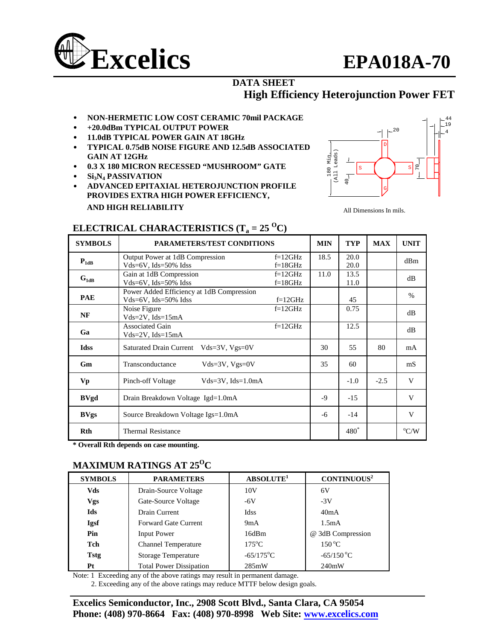

#### **DATA SHEET High Efficiency Heterojunction Power FET**

- **NON-HERMETIC LOW COST CERAMIC 70mil PACKAGE**
- **+20.0dBm TYPICAL OUTPUT POWER**
- **11.0dB TYPICAL POWER GAIN AT 18GHz**
- **TYPICAL 0.75dB NOISE FIGURE AND 12.5dB ASSOCIATED GAIN AT 12GHz**
- **0.3 X 180 MICRON RECESSED "MUSHROOM" GATE**
- **Si3N4 PASSIVATION**
- **ADVANCED EPITAXIAL HETEROJUNCTION PROFILE PROVIDES EXTRA HIGH POWER EFFICIENCY, AND HIGH RELIABILITY**



All Dimensions In mils.

| <b>SYMBOLS</b> | <b>PARAMETERS/TEST CONDITIONS</b>                                           | <b>MIN</b>             | <b>TYP</b> | <b>MAX</b>       | <b>UNIT</b> |               |
|----------------|-----------------------------------------------------------------------------|------------------------|------------|------------------|-------------|---------------|
| $P_{1dB}$      | Output Power at 1dB Compression<br>$Vds = 6V$ , $Ids = 50\%$ Idss           | $f=12GHz$<br>$f=18GHz$ | 18.5       | 20.0<br>20.0     |             | dBm           |
| $G_{1dB}$      | Gain at 1dB Compression<br>$Vds = 6V$ , $Ids = 50\%$ Idss                   | $f=12GHz$<br>$f=18GHz$ | 11.0       | 13.5<br>11.0     |             | dB            |
| <b>PAE</b>     | Power Added Efficiency at 1dB Compression<br>$Vds = 6V$ , $Ids = 50\%$ Idss |                        | 45         |                  | $\%$        |               |
| NF             | Noise Figure<br>$Vds = 2V$ , $Ids = 15mA$                                   | $f=12GHz$              |            | 0.75             |             | dB            |
| Ga             | <b>Associated Gain</b><br>$Vds = 2V$ , $Ids = 15mA$                         | $f=12GHz$              |            | 12.5             |             | dB            |
| <b>Idss</b>    | Saturated Drain Current Vds=3V, Vgs=0V                                      |                        | 30         | 55               | 80          | mA            |
| Gm             | Transconductance<br>$Vds = 3V$ , $Vgs = 0V$                                 |                        | 35         | 60               |             | mS            |
| Vp             | Pinch-off Voltage<br>$Vds = 3V$ , $Ids = 1.0mA$                             |                        |            | $-1.0$           | $-2.5$      | V             |
| <b>BVgd</b>    | Drain Breakdown Voltage Igd=1.0mA                                           |                        | $-9$       | $-15$            |             | V             |
| <b>BVgs</b>    | Source Breakdown Voltage Igs=1.0mA                                          | -6                     | $-14$      |                  | V           |               |
| <b>Rth</b>     | <b>Thermal Resistance</b>                                                   |                        |            | 480 <sup>*</sup> |             | $\rm ^{o}C/W$ |

## **ELECTRICAL CHARACTERISTICS (T<sub>a</sub> = 25 <sup>O</sup>C)**

**\* Overall Rth depends on case mounting.** 

### **MAXIMUM RATINGS AT 25OC**

| <b>SYMBOLS</b> | <b>PARAMETERS</b>              | ABSOLUTE <sup>1</sup> | CONTINUOUS <sup>2</sup> |
|----------------|--------------------------------|-----------------------|-------------------------|
| Vds            | Drain-Source Voltage           | 10 <sub>V</sub>       | 6V                      |
| Vgs            | Gate-Source Voltage            | $-6V$                 | $-3V$                   |
| Ids            | Drain Current                  | <b>Idss</b>           | 40mA                    |
| <b>Igsf</b>    | <b>Forward Gate Current</b>    | 9mA                   | 1.5mA                   |
| Pin            | Input Power                    | 16dBm                 | @ 3dB Compression       |
| Tch            | <b>Channel Temperature</b>     | $175^{\circ}$ C       | $150^{\circ}$ C         |
| <b>Tstg</b>    | <b>Storage Temperature</b>     | $-65/175$ °C          | $-65/150$ °C            |
| Pt             | <b>Total Power Dissipation</b> | 285mW                 | 240mW                   |

Note: 1 Exceeding any of the above ratings may result in permanent damage.

2. Exceeding any of the above ratings may reduce MTTF below design goals.